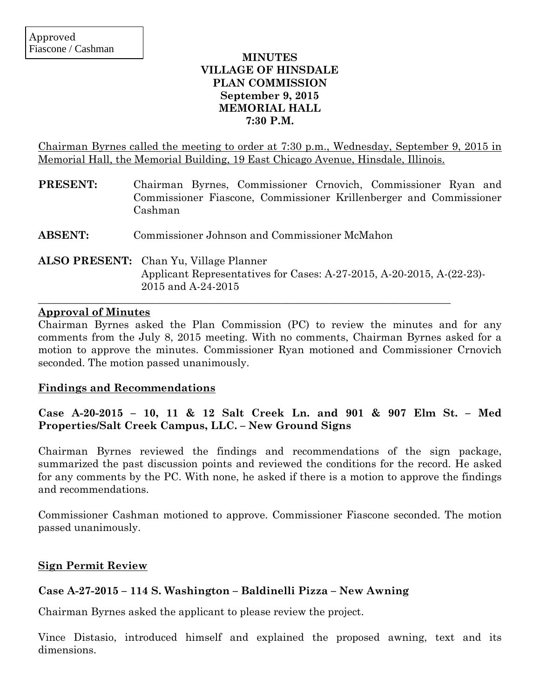## **MINUTES VILLAGE OF HINSDALE PLAN COMMISSION September 9, 2015 MEMORIAL HALL 7:30 P.M.**

Chairman Byrnes called the meeting to order at 7:30 p.m., Wednesday, September 9, 2015 in Memorial Hall, the Memorial Building, 19 East Chicago Avenue, Hinsdale, Illinois.

| <b>PRESENT:</b> | Chairman Byrnes, Commissioner Crnovich, Commissioner Ryan and<br>Commissioner Fiascone, Commissioner Krillenberger and Commissioner<br>Cashman |
|-----------------|------------------------------------------------------------------------------------------------------------------------------------------------|
| <b>ABSENT:</b>  | Commissioner Johnson and Commissioner McMahon                                                                                                  |
|                 | ALSO PRESENT: Chan Yu, Village Planner<br>Applicant Representatives for Cases: A-27-2015, A-20-2015, A-(22-23)-<br>2015 and A-24-2015          |

## **Approval of Minutes**

Chairman Byrnes asked the Plan Commission (PC) to review the minutes and for any comments from the July 8, 2015 meeting. With no comments, Chairman Byrnes asked for a motion to approve the minutes. Commissioner Ryan motioned and Commissioner Crnovich seconded. The motion passed unanimously.

## **Findings and Recommendations**

# **Case A-20-2015 – 10, 11 & 12 Salt Creek Ln. and 901 & 907 Elm St. – Med Properties/Salt Creek Campus, LLC. – New Ground Signs**

Chairman Byrnes reviewed the findings and recommendations of the sign package, summarized the past discussion points and reviewed the conditions for the record. He asked for any comments by the PC. With none, he asked if there is a motion to approve the findings and recommendations.

Commissioner Cashman motioned to approve. Commissioner Fiascone seconded. The motion passed unanimously.

# **Sign Permit Review**

# **Case A-27-2015 – 114 S. Washington – Baldinelli Pizza – New Awning**

Chairman Byrnes asked the applicant to please review the project.

Vince Distasio, introduced himself and explained the proposed awning, text and its dimensions.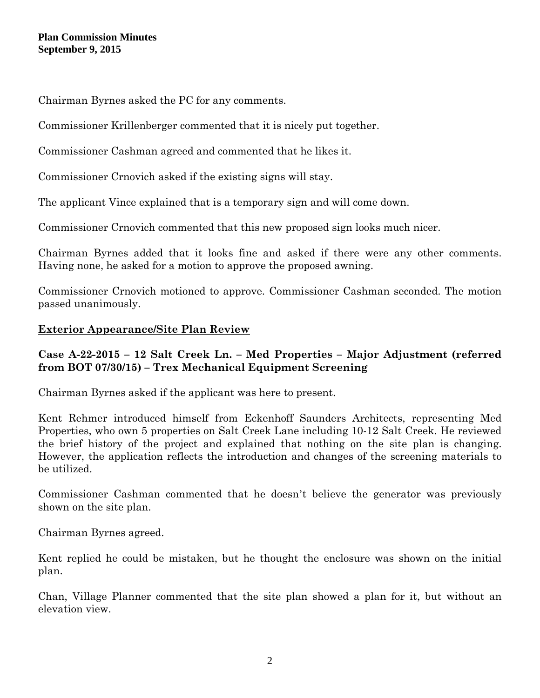Chairman Byrnes asked the PC for any comments.

Commissioner Krillenberger commented that it is nicely put together.

Commissioner Cashman agreed and commented that he likes it.

Commissioner Crnovich asked if the existing signs will stay.

The applicant Vince explained that is a temporary sign and will come down.

Commissioner Crnovich commented that this new proposed sign looks much nicer.

Chairman Byrnes added that it looks fine and asked if there were any other comments. Having none, he asked for a motion to approve the proposed awning.

Commissioner Crnovich motioned to approve. Commissioner Cashman seconded. The motion passed unanimously.

## **Exterior Appearance/Site Plan Review**

## **Case A-22-2015 – 12 Salt Creek Ln. – Med Properties – Major Adjustment (referred from BOT 07/30/15) – Trex Mechanical Equipment Screening**

Chairman Byrnes asked if the applicant was here to present.

Kent Rehmer introduced himself from Eckenhoff Saunders Architects, representing Med Properties, who own 5 properties on Salt Creek Lane including 10-12 Salt Creek. He reviewed the brief history of the project and explained that nothing on the site plan is changing. However, the application reflects the introduction and changes of the screening materials to be utilized.

Commissioner Cashman commented that he doesn't believe the generator was previously shown on the site plan.

Chairman Byrnes agreed.

Kent replied he could be mistaken, but he thought the enclosure was shown on the initial plan.

Chan, Village Planner commented that the site plan showed a plan for it, but without an elevation view.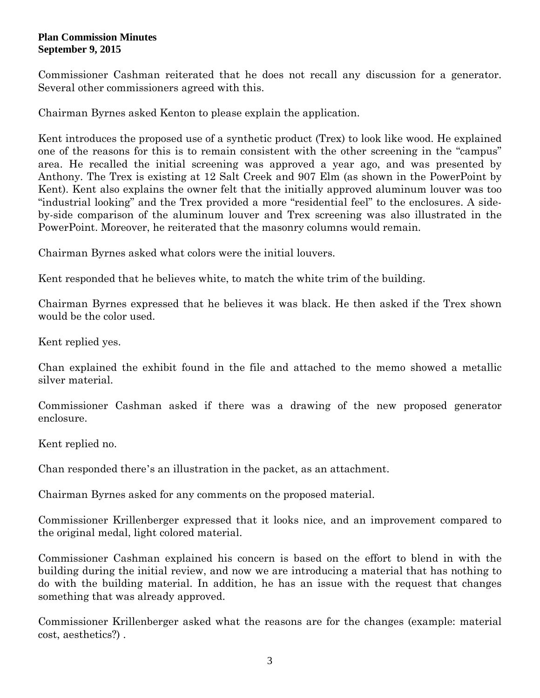Commissioner Cashman reiterated that he does not recall any discussion for a generator. Several other commissioners agreed with this.

Chairman Byrnes asked Kenton to please explain the application.

Kent introduces the proposed use of a synthetic product (Trex) to look like wood. He explained one of the reasons for this is to remain consistent with the other screening in the "campus" area. He recalled the initial screening was approved a year ago, and was presented by Anthony. The Trex is existing at 12 Salt Creek and 907 Elm (as shown in the PowerPoint by Kent). Kent also explains the owner felt that the initially approved aluminum louver was too "industrial looking" and the Trex provided a more "residential feel" to the enclosures. A sideby-side comparison of the aluminum louver and Trex screening was also illustrated in the PowerPoint. Moreover, he reiterated that the masonry columns would remain.

Chairman Byrnes asked what colors were the initial louvers.

Kent responded that he believes white, to match the white trim of the building.

Chairman Byrnes expressed that he believes it was black. He then asked if the Trex shown would be the color used.

Kent replied yes.

Chan explained the exhibit found in the file and attached to the memo showed a metallic silver material.

Commissioner Cashman asked if there was a drawing of the new proposed generator enclosure.

Kent replied no.

Chan responded there's an illustration in the packet, as an attachment.

Chairman Byrnes asked for any comments on the proposed material.

Commissioner Krillenberger expressed that it looks nice, and an improvement compared to the original medal, light colored material.

Commissioner Cashman explained his concern is based on the effort to blend in with the building during the initial review, and now we are introducing a material that has nothing to do with the building material. In addition, he has an issue with the request that changes something that was already approved.

Commissioner Krillenberger asked what the reasons are for the changes (example: material cost, aesthetics?) .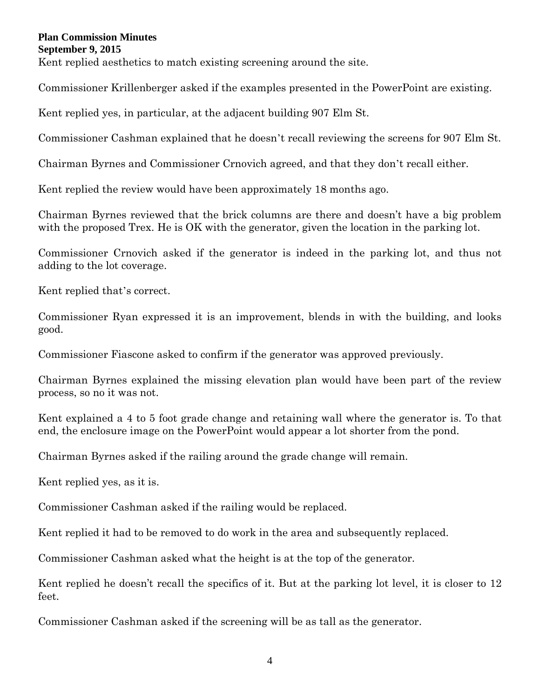Kent replied aesthetics to match existing screening around the site.

Commissioner Krillenberger asked if the examples presented in the PowerPoint are existing.

Kent replied yes, in particular, at the adjacent building 907 Elm St.

Commissioner Cashman explained that he doesn't recall reviewing the screens for 907 Elm St.

Chairman Byrnes and Commissioner Crnovich agreed, and that they don't recall either.

Kent replied the review would have been approximately 18 months ago.

Chairman Byrnes reviewed that the brick columns are there and doesn't have a big problem with the proposed Trex. He is OK with the generator, given the location in the parking lot.

Commissioner Crnovich asked if the generator is indeed in the parking lot, and thus not adding to the lot coverage.

Kent replied that's correct.

Commissioner Ryan expressed it is an improvement, blends in with the building, and looks good.

Commissioner Fiascone asked to confirm if the generator was approved previously.

Chairman Byrnes explained the missing elevation plan would have been part of the review process, so no it was not.

Kent explained a 4 to 5 foot grade change and retaining wall where the generator is. To that end, the enclosure image on the PowerPoint would appear a lot shorter from the pond.

Chairman Byrnes asked if the railing around the grade change will remain.

Kent replied yes, as it is.

Commissioner Cashman asked if the railing would be replaced.

Kent replied it had to be removed to do work in the area and subsequently replaced.

Commissioner Cashman asked what the height is at the top of the generator.

Kent replied he doesn't recall the specifics of it. But at the parking lot level, it is closer to 12 feet.

Commissioner Cashman asked if the screening will be as tall as the generator.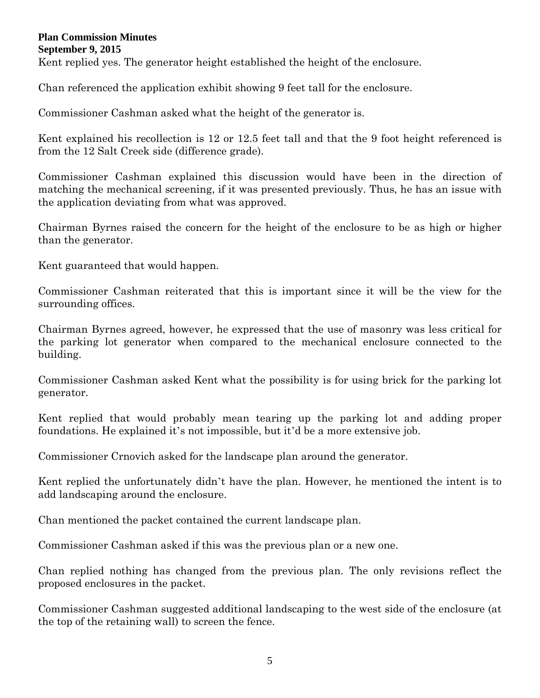Kent replied yes. The generator height established the height of the enclosure.

Chan referenced the application exhibit showing 9 feet tall for the enclosure.

Commissioner Cashman asked what the height of the generator is.

Kent explained his recollection is 12 or 12.5 feet tall and that the 9 foot height referenced is from the 12 Salt Creek side (difference grade).

Commissioner Cashman explained this discussion would have been in the direction of matching the mechanical screening, if it was presented previously. Thus, he has an issue with the application deviating from what was approved.

Chairman Byrnes raised the concern for the height of the enclosure to be as high or higher than the generator.

Kent guaranteed that would happen.

Commissioner Cashman reiterated that this is important since it will be the view for the surrounding offices.

Chairman Byrnes agreed, however, he expressed that the use of masonry was less critical for the parking lot generator when compared to the mechanical enclosure connected to the building.

Commissioner Cashman asked Kent what the possibility is for using brick for the parking lot generator.

Kent replied that would probably mean tearing up the parking lot and adding proper foundations. He explained it's not impossible, but it'd be a more extensive job.

Commissioner Crnovich asked for the landscape plan around the generator.

Kent replied the unfortunately didn't have the plan. However, he mentioned the intent is to add landscaping around the enclosure.

Chan mentioned the packet contained the current landscape plan.

Commissioner Cashman asked if this was the previous plan or a new one.

Chan replied nothing has changed from the previous plan. The only revisions reflect the proposed enclosures in the packet.

Commissioner Cashman suggested additional landscaping to the west side of the enclosure (at the top of the retaining wall) to screen the fence.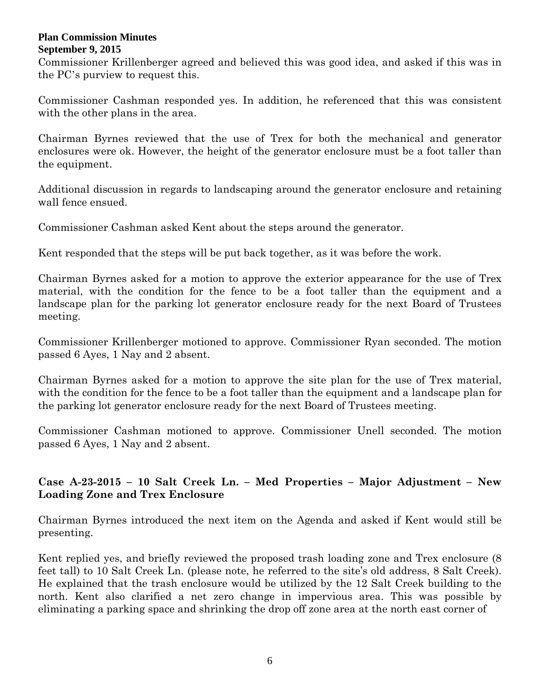Commissioner Krillenberger agreed and believed this was good idea, and asked if this was in the PC's purview to request this.

Commissioner Cashman responded yes. In addition, he referenced that this was consistent with the other plans in the area.

Chairman Byrnes reviewed that the use of Trex for both the mechanical and generator enclosures were ok. However, the height of the generator enclosure must be a foot taller than the equipment.

Additional discussion in regards to landscaping around the generator enclosure and retaining wall fence ensued.

Commissioner Cashman asked Kent about the steps around the generator.

Kent responded that the steps will be put back together, as it was before the work.

Chairman Byrnes asked for a motion to approve the exterior appearance for the use of Trex material, with the condition for the fence to be a foot taller than the equipment and a landscape plan for the parking lot generator enclosure ready for the next Board of Trustees meeting.

Commissioner Krillenberger motioned to approve. Commissioner Ryan seconded. The motion passed 6 Ayes, 1 Nay and 2 absent.

Chairman Byrnes asked for a motion to approve the site plan for the use of Trex material, with the condition for the fence to be a foot taller than the equipment and a landscape plan for the parking lot generator enclosure ready for the next Board of Trustees meeting.

Commissioner Cashman motioned to approve. Commissioner Unell seconded. The motion passed 6 Ayes, 1 Nay and 2 absent.

# **Case A-23-2015 – 10 Salt Creek Ln. – Med Properties – Major Adjustment – New Loading Zone and Trex Enclosure**

Chairman Byrnes introduced the next item on the Agenda and asked if Kent would still be presenting.

Kent replied yes, and briefly reviewed the proposed trash loading zone and Trex enclosure (8 feet tall) to 10 Salt Creek Ln. (please note, he referred to the site's old address, 8 Salt Creek). He explained that the trash enclosure would be utilized by the 12 Salt Creek building to the north. Kent also clarified a net zero change in impervious area. This was possible by eliminating a parking space and shrinking the drop off zone area at the north east corner of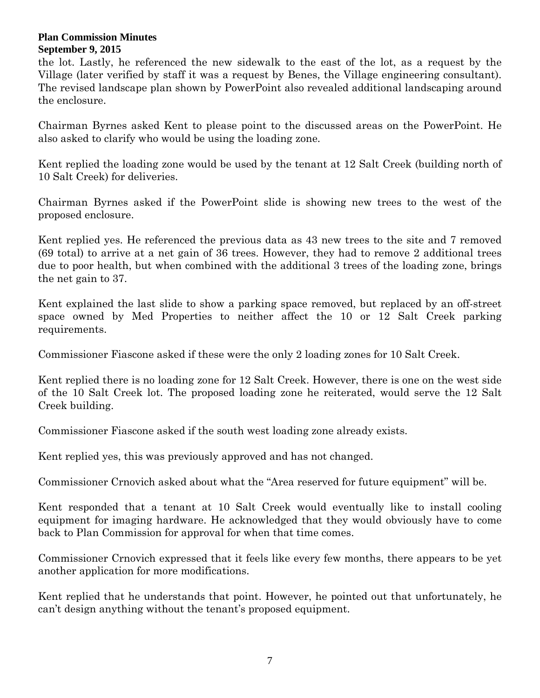the lot. Lastly, he referenced the new sidewalk to the east of the lot, as a request by the Village (later verified by staff it was a request by Benes, the Village engineering consultant). The revised landscape plan shown by PowerPoint also revealed additional landscaping around the enclosure.

Chairman Byrnes asked Kent to please point to the discussed areas on the PowerPoint. He also asked to clarify who would be using the loading zone.

Kent replied the loading zone would be used by the tenant at 12 Salt Creek (building north of 10 Salt Creek) for deliveries.

Chairman Byrnes asked if the PowerPoint slide is showing new trees to the west of the proposed enclosure.

Kent replied yes. He referenced the previous data as 43 new trees to the site and 7 removed (69 total) to arrive at a net gain of 36 trees. However, they had to remove 2 additional trees due to poor health, but when combined with the additional 3 trees of the loading zone, brings the net gain to 37.

Kent explained the last slide to show a parking space removed, but replaced by an off-street space owned by Med Properties to neither affect the 10 or 12 Salt Creek parking requirements.

Commissioner Fiascone asked if these were the only 2 loading zones for 10 Salt Creek.

Kent replied there is no loading zone for 12 Salt Creek. However, there is one on the west side of the 10 Salt Creek lot. The proposed loading zone he reiterated, would serve the 12 Salt Creek building.

Commissioner Fiascone asked if the south west loading zone already exists.

Kent replied yes, this was previously approved and has not changed.

Commissioner Crnovich asked about what the "Area reserved for future equipment" will be.

Kent responded that a tenant at 10 Salt Creek would eventually like to install cooling equipment for imaging hardware. He acknowledged that they would obviously have to come back to Plan Commission for approval for when that time comes.

Commissioner Crnovich expressed that it feels like every few months, there appears to be yet another application for more modifications.

Kent replied that he understands that point. However, he pointed out that unfortunately, he can't design anything without the tenant's proposed equipment.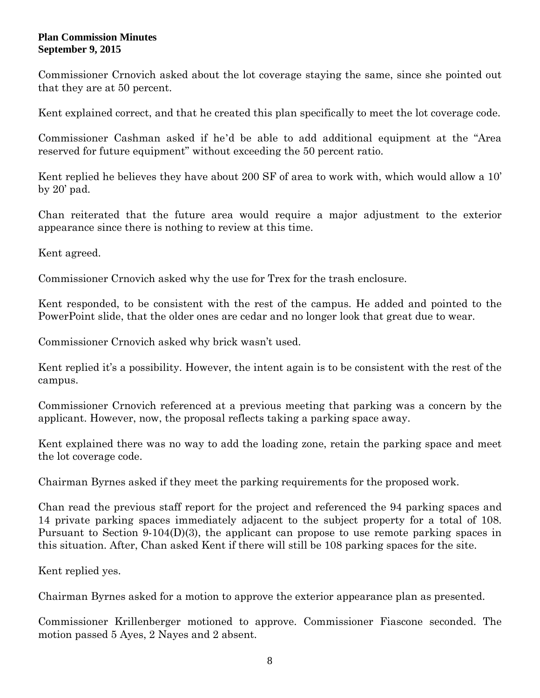Commissioner Crnovich asked about the lot coverage staying the same, since she pointed out that they are at 50 percent.

Kent explained correct, and that he created this plan specifically to meet the lot coverage code.

Commissioner Cashman asked if he'd be able to add additional equipment at the "Area reserved for future equipment" without exceeding the 50 percent ratio.

Kent replied he believes they have about 200 SF of area to work with, which would allow a 10' by  $20'$  pad.

Chan reiterated that the future area would require a major adjustment to the exterior appearance since there is nothing to review at this time.

Kent agreed.

Commissioner Crnovich asked why the use for Trex for the trash enclosure.

Kent responded, to be consistent with the rest of the campus. He added and pointed to the PowerPoint slide, that the older ones are cedar and no longer look that great due to wear.

Commissioner Crnovich asked why brick wasn't used.

Kent replied it's a possibility. However, the intent again is to be consistent with the rest of the campus.

Commissioner Crnovich referenced at a previous meeting that parking was a concern by the applicant. However, now, the proposal reflects taking a parking space away.

Kent explained there was no way to add the loading zone, retain the parking space and meet the lot coverage code.

Chairman Byrnes asked if they meet the parking requirements for the proposed work.

Chan read the previous staff report for the project and referenced the 94 parking spaces and 14 private parking spaces immediately adjacent to the subject property for a total of 108. Pursuant to Section 9-104(D)(3), the applicant can propose to use remote parking spaces in this situation. After, Chan asked Kent if there will still be 108 parking spaces for the site.

Kent replied yes.

Chairman Byrnes asked for a motion to approve the exterior appearance plan as presented.

Commissioner Krillenberger motioned to approve. Commissioner Fiascone seconded. The motion passed 5 Ayes, 2 Nayes and 2 absent.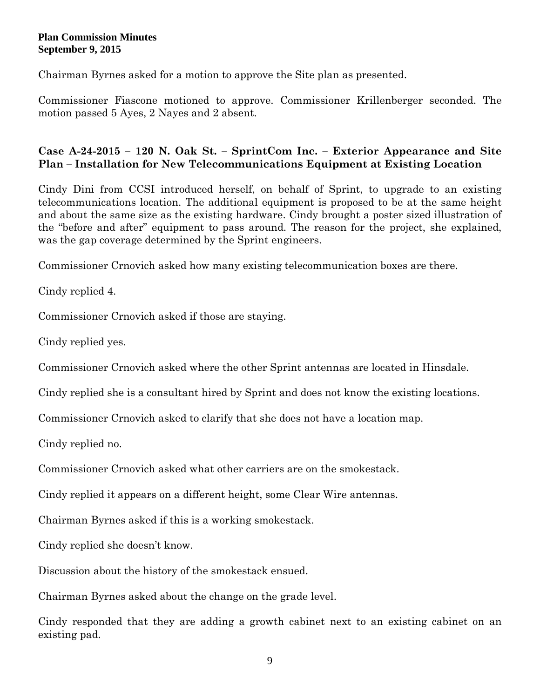Chairman Byrnes asked for a motion to approve the Site plan as presented.

Commissioner Fiascone motioned to approve. Commissioner Krillenberger seconded. The motion passed 5 Ayes, 2 Nayes and 2 absent.

# **Case A-24-2015 – 120 N. Oak St. – SprintCom Inc. – Exterior Appearance and Site Plan – Installation for New Telecommunications Equipment at Existing Location**

Cindy Dini from CCSI introduced herself, on behalf of Sprint, to upgrade to an existing telecommunications location. The additional equipment is proposed to be at the same height and about the same size as the existing hardware. Cindy brought a poster sized illustration of the "before and after" equipment to pass around. The reason for the project, she explained, was the gap coverage determined by the Sprint engineers.

Commissioner Crnovich asked how many existing telecommunication boxes are there.

Cindy replied 4.

Commissioner Crnovich asked if those are staying.

Cindy replied yes.

Commissioner Crnovich asked where the other Sprint antennas are located in Hinsdale.

Cindy replied she is a consultant hired by Sprint and does not know the existing locations.

Commissioner Crnovich asked to clarify that she does not have a location map.

Cindy replied no.

Commissioner Crnovich asked what other carriers are on the smokestack.

Cindy replied it appears on a different height, some Clear Wire antennas.

Chairman Byrnes asked if this is a working smokestack.

Cindy replied she doesn't know.

Discussion about the history of the smokestack ensued.

Chairman Byrnes asked about the change on the grade level.

Cindy responded that they are adding a growth cabinet next to an existing cabinet on an existing pad.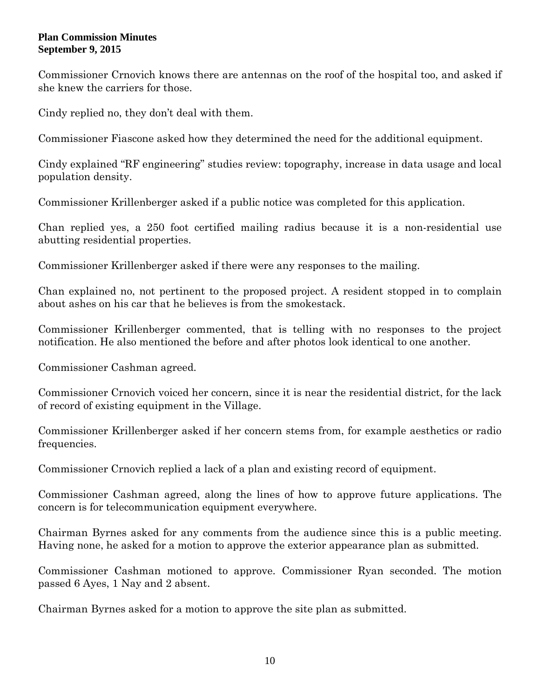Commissioner Crnovich knows there are antennas on the roof of the hospital too, and asked if she knew the carriers for those.

Cindy replied no, they don't deal with them.

Commissioner Fiascone asked how they determined the need for the additional equipment.

Cindy explained "RF engineering" studies review: topography, increase in data usage and local population density.

Commissioner Krillenberger asked if a public notice was completed for this application.

Chan replied yes, a 250 foot certified mailing radius because it is a non-residential use abutting residential properties.

Commissioner Krillenberger asked if there were any responses to the mailing.

Chan explained no, not pertinent to the proposed project. A resident stopped in to complain about ashes on his car that he believes is from the smokestack.

Commissioner Krillenberger commented, that is telling with no responses to the project notification. He also mentioned the before and after photos look identical to one another.

Commissioner Cashman agreed.

Commissioner Crnovich voiced her concern, since it is near the residential district, for the lack of record of existing equipment in the Village.

Commissioner Krillenberger asked if her concern stems from, for example aesthetics or radio frequencies.

Commissioner Crnovich replied a lack of a plan and existing record of equipment.

Commissioner Cashman agreed, along the lines of how to approve future applications. The concern is for telecommunication equipment everywhere.

Chairman Byrnes asked for any comments from the audience since this is a public meeting. Having none, he asked for a motion to approve the exterior appearance plan as submitted.

Commissioner Cashman motioned to approve. Commissioner Ryan seconded. The motion passed 6 Ayes, 1 Nay and 2 absent.

Chairman Byrnes asked for a motion to approve the site plan as submitted.